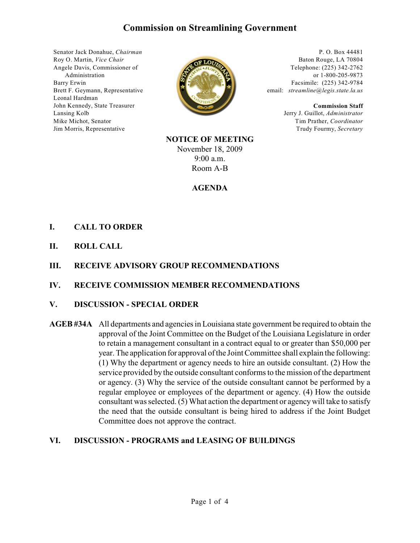# **Commission on Streamlining Government**

Senator Jack Donahue, *Chairman* Roy O. Martin, *Vice Chair* Angele Davis, Commissioner of Administration Barry Erwin Brett F. Geymann, Representative Leonal Hardman John Kennedy, State Treasurer Lansing Kolb Mike Michot, Senator Jim Morris, Representative



P. O. Box 44481 Baton Rouge, LA 70804 Telephone: (225) 342-2762 or 1-800-205-9873 Facsimile: (225) 342-9784 email: *streamline@legis.state.la.us*

> **Commission Staff** Jerry J. Guillot, *Administrator* Tim Prather, *Coordinator* Trudy Fourmy, *Secretary*

**NOTICE OF MEETING** November 18, 2009 9:00 a.m. Room A-B

#### **AGENDA**

## **I. CALL TO ORDER**

**II. ROLL CALL**

### **III. RECEIVE ADVISORY GROUP RECOMMENDATIONS**

### **IV. RECEIVE COMMISSION MEMBER RECOMMENDATIONS**

#### **V. DISCUSSION - SPECIAL ORDER**

**AGEB #34A** All departments and agencies in Louisiana state government be required to obtain the approval of the Joint Committee on the Budget of the Louisiana Legislature in order to retain a management consultant in a contract equal to or greater than \$50,000 per year. The application for approval of the Joint Committee shall explain the following: (1) Why the department or agency needs to hire an outside consultant. (2) How the service provided by the outside consultant conforms to the mission of the department or agency. (3) Why the service of the outside consultant cannot be performed by a regular employee or employees of the department or agency. (4) How the outside consultant was selected. (5) What action the department or agency will take to satisfy the need that the outside consultant is being hired to address if the Joint Budget Committee does not approve the contract.

### **VI. DISCUSSION - PROGRAMS and LEASING OF BUILDINGS**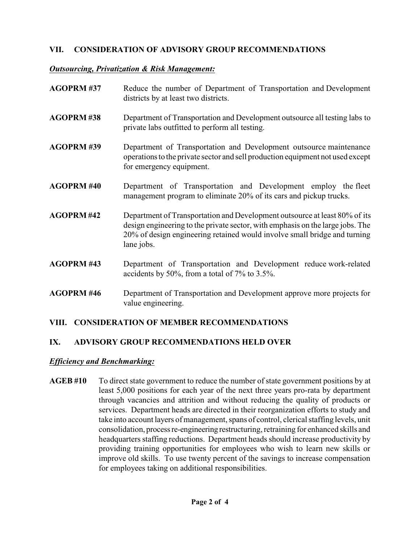## **VII. CONSIDERATION OF ADVISORY GROUP RECOMMENDATIONS**

### *Outsourcing, Privatization & Risk Management:*

| <b>AGOPRM#37</b>  | Reduce the number of Department of Transportation and Development<br>districts by at least two districts.                                                                                                                                               |
|-------------------|---------------------------------------------------------------------------------------------------------------------------------------------------------------------------------------------------------------------------------------------------------|
| <b>AGOPRM#38</b>  | Department of Transportation and Development outsource all testing labs to<br>private labs outfitted to perform all testing.                                                                                                                            |
| <b>AGOPRM#39</b>  | Department of Transportation and Development outsource maintenance<br>operations to the private sector and sell production equipment not used except<br>for emergency equipment.                                                                        |
| <b>AGOPRM#40</b>  | Department of Transportation and Development employ the fleet<br>management program to eliminate 20% of its cars and pickup trucks.                                                                                                                     |
| <b>AGOPRM#42</b>  | Department of Transportation and Development outsource at least 80% of its<br>design engineering to the private sector, with emphasis on the large jobs. The<br>20% of design engineering retained would involve small bridge and turning<br>lane jobs. |
| <b>AGOPRM#43</b>  | Department of Transportation and Development reduce work-related<br>accidents by 50%, from a total of $7\%$ to 3.5%.                                                                                                                                    |
| <b>AGOPRM #46</b> | Department of Transportation and Development approve more projects for<br>value engineering.                                                                                                                                                            |

# **VIII. CONSIDERATION OF MEMBER RECOMMENDATIONS**

# **IX. ADVISORY GROUP RECOMMENDATIONS HELD OVER**

### *Efficiency and Benchmarking:*

**AGEB #10** To direct state government to reduce the number of state government positions by at least 5,000 positions for each year of the next three years pro-rata by department through vacancies and attrition and without reducing the quality of products or services. Department heads are directed in their reorganization efforts to study and take into account layers of management, spans of control, clerical staffing levels, unit consolidation, process re-engineering restructuring, retraining for enhanced skills and headquarters staffing reductions. Department heads should increase productivity by providing training opportunities for employees who wish to learn new skills or improve old skills. To use twenty percent of the savings to increase compensation for employees taking on additional responsibilities.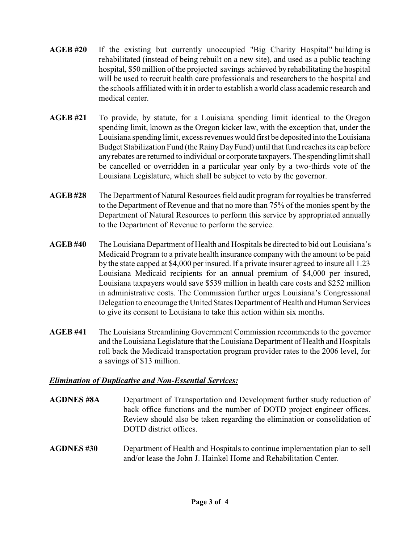- **AGEB #20** If the existing but currently unoccupied "Big Charity Hospital" building is rehabilitated (instead of being rebuilt on a new site), and used as a public teaching hospital, \$50 million of the projected savings achieved by rehabilitating the hospital will be used to recruit health care professionals and researchers to the hospital and the schools affiliated with it in order to establish a world class academic research and medical center.
- **AGEB #21** To provide, by statute, for a Louisiana spending limit identical to the Oregon spending limit, known as the Oregon kicker law, with the exception that, under the Louisiana spending limit, excess revenues would first be deposited into the Louisiana Budget Stabilization Fund (the Rainy Day Fund) until that fund reaches its cap before any rebates are returned to individual or corporate taxpayers. The spending limit shall be cancelled or overridden in a particular year only by a two-thirds vote of the Louisiana Legislature, which shall be subject to veto by the governor.
- **AGEB #28** The Department of Natural Resources field audit program for royalties be transferred to the Department of Revenue and that no more than 75% of the monies spent by the Department of Natural Resources to perform this service by appropriated annually to the Department of Revenue to perform the service.
- **AGEB #40** The Louisiana Department of Health and Hospitals be directed to bid out Louisiana's Medicaid Program to a private health insurance company with the amount to be paid by the state capped at \$4,000 per insured. If a private insurer agreed to insure all 1.23 Louisiana Medicaid recipients for an annual premium of \$4,000 per insured, Louisiana taxpayers would save \$539 million in health care costs and \$252 million in administrative costs. The Commission further urges Louisiana's Congressional Delegation to encourage the United States Department of Health and Human Services to give its consent to Louisiana to take this action within six months.
- **AGEB #41** The Louisiana Streamlining Government Commission recommends to the governor and the Louisiana Legislature that the Louisiana Department of Health and Hospitals roll back the Medicaid transportation program provider rates to the 2006 level, for a savings of \$13 million.

### *Elimination of Duplicative and Non-Essential Services:*

- **AGDNES #8A** Department of Transportation and Development further study reduction of back office functions and the number of DOTD project engineer offices. Review should also be taken regarding the elimination or consolidation of DOTD district offices.
- **AGDNES #30** Department of Health and Hospitals to continue implementation plan to sell and/or lease the John J. Hainkel Home and Rehabilitation Center.